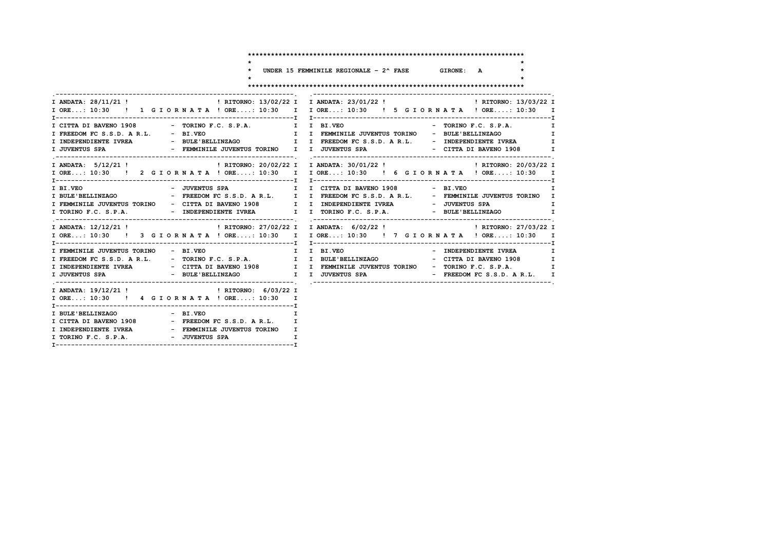**\*\*\*\*\*\*\*\*\*\*\*\*\*\*\*\*\*\*\*\*\*\*\*\*\*\*\*\*\*\*\*\*\*\*\*\*\*\*\*\*\*\*\*\*\*\*\*\*\*\*\*\*\*\*\*\*\*\*\*\*\*\*\*\*\*\*\*\*\*\*\*\***

**\* \***

 **\* UNDER 15 FEMMINILE REGIONALE – 2^ FASE GIRONE: A \***

 **\* \* \*\*\*\*\*\*\*\*\*\*\*\*\*\*\*\*\*\*\*\*\*\*\*\*\*\*\*\*\*\*\*\*\*\*\*\*\*\*\*\*\*\*\*\*\*\*\*\*\*\*\*\*\*\*\*\*\*\*\*\*\*\*\*\*\*\*\*\*\*\*\*\***

|                                                                                                                                                                                                                                                                   | I ORE: 10:30 ! 1 G I O R N A T A ! ORE: 10:30 I I ORE: 10:30 ! 5 G I O R N A T A ! ORE: 10:30 I                                                                                                                                                                                                                                                                   |
|-------------------------------------------------------------------------------------------------------------------------------------------------------------------------------------------------------------------------------------------------------------------|-------------------------------------------------------------------------------------------------------------------------------------------------------------------------------------------------------------------------------------------------------------------------------------------------------------------------------------------------------------------|
| I FREEDOM FC S.S.D. A R.L. - BI.VEO THE SALL THEMMINILE JUVENTUS TORINO - BULE'BELLINZAGO<br>I INDEPENDIENTE IVREA - BULE'BELLINZAGO I I I FREEDOM FC S.S.D. A R.L. - INDEPENDIENTE IVREA                                                                         | I CITTA DI BAVENO 1908 - TORINO F.C. S.P.A. I I BI.VEO - TORINO F.C. S.P.A. I<br>$\mathbf I$<br>$\mathbf I$                                                                                                                                                                                                                                                       |
|                                                                                                                                                                                                                                                                   | I ORE: 10:30 ! 2 G I OR N A T A ! ORE: 10:30 I I ORE: 10:30 ! 6 G I OR N A T A ! ORE: 10:30 I                                                                                                                                                                                                                                                                     |
| I BI.VEO                                                                                                                                                                                                                                                          | $\mathbf I$<br>I BULE'BELLINZAGO <b>CONTECT AT A SECTION EXECTS A R.L.</b> I I FREEDOM FC S.S.D. A R.L. - FEMMINILE JUVENTUS TORINO I<br>I FEMMINILE JUVENTUS TORINO - CITTA DI BAVENO 1908 I I INDEPENDIENTE IVREA - JUVENTUS SPA<br>$\mathbf{I}$<br>I TORINO F.C. S.P.A.         - INDEPENDIENTE IVREA     I I TORINO F.C. S.P.A.       - BULE'BELLINZAGO     I |
|                                                                                                                                                                                                                                                                   | I ORE: 10:30 ! 3 G I O R N A T A ! ORE: 10:30 I I ORE: 10:30 ! 7 G I O R N A T A ! ORE: 10:30 I                                                                                                                                                                                                                                                                   |
|                                                                                                                                                                                                                                                                   | I FEMMINILE JUVENTUS TORINO - BI.VEO               I   I  BI.VEO                     - INDEPENDIENTE IVREA   I<br>I FREEDOM FC S.S.D. A R.L. - TORINO F.C. S.P.A. I I BULE'BELLINZAGO - CITTA DI BAVENO 1908 I<br>I INDEPENDIENTE IVREA              - CITTA DI BAVENO 1908       I I FEMMINILE JUVENTUS TORINO   - TORINO F.C. S.P.A.         I                  |
| I ANDATA: 19/12/21 !   RITORNO: 6/03/22 I<br>I ORE: 10:30 ! 4 G I OR N A T A ! ORE: 10:30 I                                                                                                                                                                       |                                                                                                                                                                                                                                                                                                                                                                   |
| I BULE'BELLINZAGO - BI.VEO<br>$\mathbf{T}$<br>I CITTA DI BAVENO 1908 - FREEDOM FC S.S.D. A R.L. I<br>I INDEPENDIENTE IVREA              - FEMMINILE JUVENTUS TORINO   I<br>I TORINO F.C. S.P.A. - JUVENTUS SPA<br>$\blacksquare$ . The contract of $\blacksquare$ |                                                                                                                                                                                                                                                                                                                                                                   |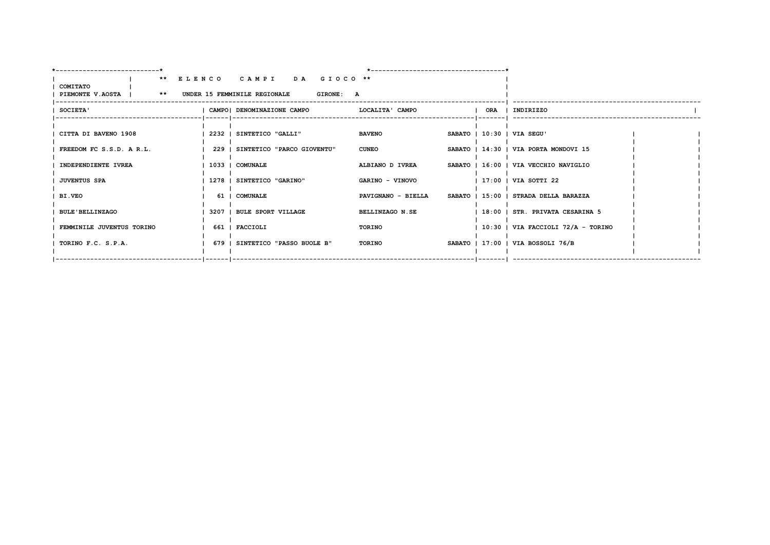|                                                                       |                 | ** ELENCO CAMPI DA GIOCO **      |                    |                                       |  |
|-----------------------------------------------------------------------|-----------------|----------------------------------|--------------------|---------------------------------------|--|
| <b>COMITATO</b><br>PIEMONTE V.AOSTA   ** UNDER 15 FEMMINILE REGIONALE |                 | <b>GIRONE: A</b>                 |                    |                                       |  |
|                                                                       |                 |                                  |                    |                                       |  |
| <b>SOCIETA'</b>                                                       |                 | CAMPO  DENOMINAZIONE CAMPO       | LOCALITA' CAMPO    | ORA   INDIRIZZO                       |  |
|                                                                       |                 |                                  |                    |                                       |  |
| CITTA DI BAVENO 1908                                                  |                 | 2232   SINTETICO "GALLI"         | <b>BAVENO</b>      | SABATO   10:30   VIA SEGU'            |  |
|                                                                       |                 |                                  |                    |                                       |  |
| FREEDOM FC S.S.D. A R.L.                                              |                 | 229   SINTETICO "PARCO GIOVENTU" | <b>CUNEO</b>       | SABATO   14:30   VIA PORTA MONDOVI 15 |  |
| INDEPENDIENTE IVREA                                                   | 1033   COMUNALE |                                  | ALBIANO D IVREA    | SABATO   16:00   VIA VECCHIO NAVIGLIO |  |
|                                                                       |                 |                                  |                    |                                       |  |
| <b>JUVENTUS SPA</b>                                                   |                 | 1278   SINTETICO "GARINO"        | GARINO - VINOVO    | $ 17:00 $ VIA SOTTI 22                |  |
|                                                                       |                 |                                  |                    |                                       |  |
| <b>BI.VEO</b>                                                         |                 | 61   COMUNALE                    | PAVIGNANO - BIELLA | SABATO   15:00   STRADA DELLA BARAZZA |  |
|                                                                       |                 |                                  |                    |                                       |  |
| <b>BULE'BELLINZAGO</b>                                                |                 | 3207   BULE SPORT VILLAGE        | BELLINZAGO N.SE    | 18:00   STR. PRIVATA CESARINA 5       |  |
| FEMMINILE JUVENTUS TORINO                                             |                 | 661   FACCIOLI                   | TORINO             | $ 10:30 $ VIA FACCIOLI 72/A - TORINO  |  |
|                                                                       |                 |                                  |                    |                                       |  |
| TORINO F.C. S.P.A.                                                    |                 | 679   SINTETICO "PASSO BUOLE B"  | TORINO             | SABATO   17:00   VIA BOSSOLI 76/B     |  |
|                                                                       |                 |                                  |                    |                                       |  |
|                                                                       |                 |                                  |                    |                                       |  |
|                                                                       |                 |                                  |                    |                                       |  |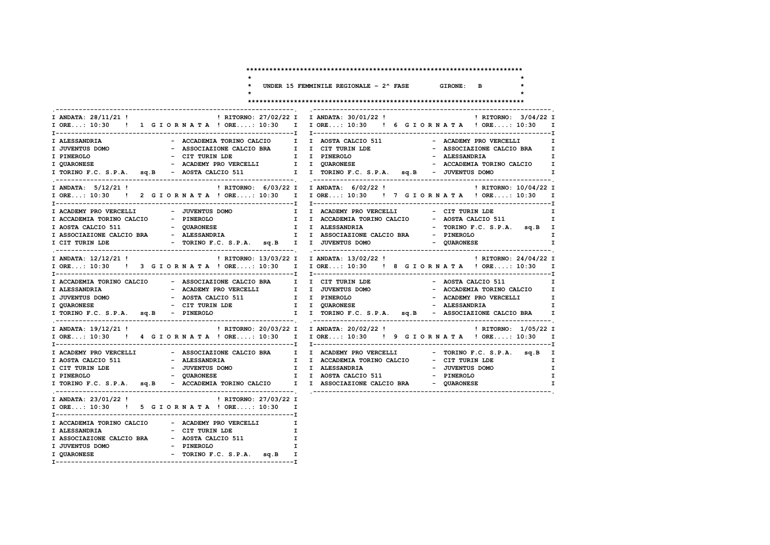|                                                                                                                                                                                                                                                                                                                                                                        |                                                                                             | UNDER 15 FEMMINILE REGIONALE - $2^{\wedge}$ FASE GIRONE: B                                                                                                   |                                                                                                   |                       |                                                                                              |
|------------------------------------------------------------------------------------------------------------------------------------------------------------------------------------------------------------------------------------------------------------------------------------------------------------------------------------------------------------------------|---------------------------------------------------------------------------------------------|--------------------------------------------------------------------------------------------------------------------------------------------------------------|---------------------------------------------------------------------------------------------------|-----------------------|----------------------------------------------------------------------------------------------|
|                                                                                                                                                                                                                                                                                                                                                                        |                                                                                             |                                                                                                                                                              |                                                                                                   |                       |                                                                                              |
| I ANDATA: 28/11/21 !<br>I ORE: 10:30 ! 1 G I O R N A T A ! ORE: 10:30 I I ORE: 10:30 ! 6 G I O R N A T A ! ORE: 10:30<br>I ALESSANDRIA<br>I JUVENTUS DOMO<br>- CIT TURIN LDE                     I  I PINEROLO<br>I PINEROLO<br>- ACADEMY PRO VERCELLI<br><b>I QUARONESE</b><br>I TORINO F.C. S.P.A. sq.B - AOSTA CALCIO 511 I TORINO F.C. S.P.A. sq.B - JUVENTUS DOMO |                                                                                             | ! RITORNO: 27/02/22 I I ANDATA: 30/01/22 !<br>- ACCADEMIA TORINO CALCIO I I AOSTA CALCIO 511<br>- ASSOCIAZIONE CALCIO BRA I I CIT TURIN LDE<br>I I QUARONESE | - ACADEMY PRO VERCELLI<br>- ASSOCIAZIONE CALCIO BRA<br>- ALESSANDRIA<br>- ACCADEMIA TORINO CALCIO | ! RITORNO: 3/04/22 I  | $\mathbf I$<br>$\mathbf \tau$<br>$\mathbf I$<br>$\mathbf \tau$<br>$\mathbf I$<br>$\mathbf I$ |
| I ANDATA: 5/12/21 !<br>I ORE: 10:30 ! 2 G I O R N A T A ! ORE: 10:30 I I ORE: 10:30 ! 7 G I O R N A T A ! ORE: 10:30 I                                                                                                                                                                                                                                                 |                                                                                             | ! RITORNO: 6/03/22 I I ANDATA: 6/02/22 !                                                                                                                     |                                                                                                   | ! RITORNO: 10/04/22 I |                                                                                              |
| I ACADEMY PRO VERCELLI - JUVENTUS DOMO<br>I ACCADEMIA TORINO CALCIO - PINEROLO<br>I AOSTA CALCIO 511 - QUARONESE<br>I CIT TURIN LDE                                                                                                                                                                                                                                    |                                                                                             | I I ACADEMY PRO VERCELLI CIT TURIN LDE<br>I I ACCADEMIA TORINO CALCIO - AOSTA CALCIO 511<br>I I ALESSANDRIA<br>- TORINO F.C. S.P.A. sq.B I I JUVENTUS DOMO   | - TORINO F.C. S.P.A. sq.B I<br>- QUARONESE                                                        |                       | I<br>I<br>$\mathbf I$<br>$\mathbf I$                                                         |
| I ANDATA: 12/12/21 !<br>I ORE: 10:30 ! 3 GIORNATA ! ORE: 10:30 I I ORE: 10:30 ! 8 GIORNATA ! ORE: 10:30 I                                                                                                                                                                                                                                                              |                                                                                             | ! RITORNO: 13/03/22 I I ANDATA: 13/02/22 !                                                                                                                   |                                                                                                   | ! RITORNO: 24/04/22 I |                                                                                              |
| I ACCADEMIA TORINO CALCIO - ASSOCIAZIONE CALCIO BRA I I CIT TURIN LDE<br>- ACADEMY PRO VERCELLI<br>I ALESSANDRIA<br>- AOSTA CALCIO 511<br>I JUVENTUS DOMO<br>- CIT TURIN LDE<br><b>I QUARONESE</b><br>I TORINO F.C. S.P.A. sq.B - PINEROLO                                                                                                                             |                                                                                             | I I JUVENTUS DOMO<br>I I PINEROLO<br><b>I</b> I QUARONESE<br>I I TORINO F.C. S.P.A. sq.B - ASSOCIAZIONE CALCIO BRA I                                         | - AOSTA CALCIO 511<br>- ACCADEMIA TORINO CALCIO<br>- ACADEMY PRO VERCELLI I<br>- ALESSANDRIA      |                       | $\mathbf I$<br>$\mathbf I$<br>I                                                              |
| I ANDATA: 19/12/21 !<br>I ORE: 10:30 ! 4 G I O R N A T A ! ORE: 10:30 I I ORE: 10:30 ! 9 G I O R N A T A ! ORE: 10:30 I                                                                                                                                                                                                                                                |                                                                                             | ! RITORNO: 20/03/22 I I ANDATA: 20/02/22 !                                                                                                                   |                                                                                                   | ! RITORNO: 1/05/22 I  |                                                                                              |
| I ACADEMY PRO VERCELLI<br>I AOSTA CALCIO 511<br>- ALESSANDRIA<br>- JUVENTUS DOMO<br>I CIT TURIN LDE                                                                                                                                                                                                                                                                    |                                                                                             | - ASSOCIAZIONE CALCIO BRA I I ACADEMY PRO VERCELLI - TORINO F.C. S.P.A. sq.B I<br>I I ACCADEMIA TORINO CALCIO - CIT TURIN LDE<br>I I ALESSANDRIA             | - JUVENTUS DOMO                                                                                   |                       | $\mathbf I$<br>$\mathbf I$<br>$\mathbf I$<br>$\mathbf{I}$                                    |
| I ANDATA: 23/01/22 !<br>I ORE: 10:30 ! 5 G I O R N A T A ! ORE: 10:30 I                                                                                                                                                                                                                                                                                                | ! RITORNO: 27/03/22 I                                                                       |                                                                                                                                                              |                                                                                                   |                       |                                                                                              |
| I ACCADEMIA TORINO CALCIO - ACADEMY PRO VERCELLI<br>I ALESSANDRIA<br>- CIT TURIN LDE<br>- PINEROLO<br>I JUVENTUS DOMO<br>I QUARONESE                                                                                                                                                                                                                                   | $\mathbf{I}$<br>$\mathbf{I}$<br>$\mathbf{I}$<br>$\mathbf{I}$<br>- TORINO F.C. S.P.A. sq.B I |                                                                                                                                                              |                                                                                                   |                       |                                                                                              |

**I--------------------------------------------------------------I**